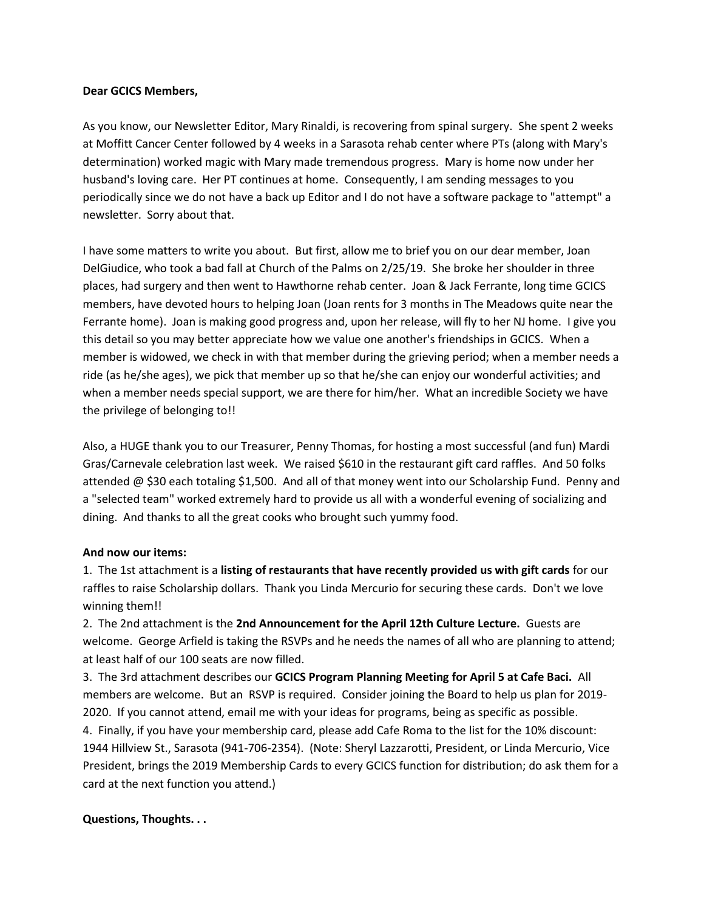#### **Dear GCICS Members,**

As you know, our Newsletter Editor, Mary Rinaldi, is recovering from spinal surgery. She spent 2 weeks at Moffitt Cancer Center followed by 4 weeks in a Sarasota rehab center where PTs (along with Mary's determination) worked magic with Mary made tremendous progress. Mary is home now under her husband's loving care. Her PT continues at home. Consequently, I am sending messages to you periodically since we do not have a back up Editor and I do not have a software package to "attempt" a newsletter. Sorry about that.

I have some matters to write you about. But first, allow me to brief you on our dear member, Joan DelGiudice, who took a bad fall at Church of the Palms on 2/25/19. She broke her shoulder in three places, had surgery and then went to Hawthorne rehab center. Joan & Jack Ferrante, long time GCICS members, have devoted hours to helping Joan (Joan rents for 3 months in The Meadows quite near the Ferrante home). Joan is making good progress and, upon her release, will fly to her NJ home. I give you this detail so you may better appreciate how we value one another's friendships in GCICS. When a member is widowed, we check in with that member during the grieving period; when a member needs a ride (as he/she ages), we pick that member up so that he/she can enjoy our wonderful activities; and when a member needs special support, we are there for him/her. What an incredible Society we have the privilege of belonging to!!

Also, a HUGE thank you to our Treasurer, Penny Thomas, for hosting a most successful (and fun) Mardi Gras/Carnevale celebration last week. We raised \$610 in the restaurant gift card raffles. And 50 folks attended @ \$30 each totaling \$1,500. And all of that money went into our Scholarship Fund. Penny and a "selected team" worked extremely hard to provide us all with a wonderful evening of socializing and dining. And thanks to all the great cooks who brought such yummy food.

#### **And now our items:**

1. The 1st attachment is a **listing of restaurants that have recently provided us with gift cards** for our raffles to raise Scholarship dollars. Thank you Linda Mercurio for securing these cards. Don't we love winning them!!

2. The 2nd attachment is the **2nd Announcement for the April 12th Culture Lecture.** Guests are welcome. George Arfield is taking the RSVPs and he needs the names of all who are planning to attend; at least half of our 100 seats are now filled.

3. The 3rd attachment describes our **GCICS Program Planning Meeting for April 5 at Cafe Baci.** All members are welcome. But an RSVP is required. Consider joining the Board to help us plan for 2019- 2020. If you cannot attend, email me with your ideas for programs, being as specific as possible. 4. Finally, if you have your membership card, please add Cafe Roma to the list for the 10% discount: 1944 Hillview St., Sarasota (941-706-2354). (Note: Sheryl Lazzarotti, President, or Linda Mercurio, Vice President, brings the 2019 Membership Cards to every GCICS function for distribution; do ask them for a card at the next function you attend.)

### **Questions, Thoughts. . .**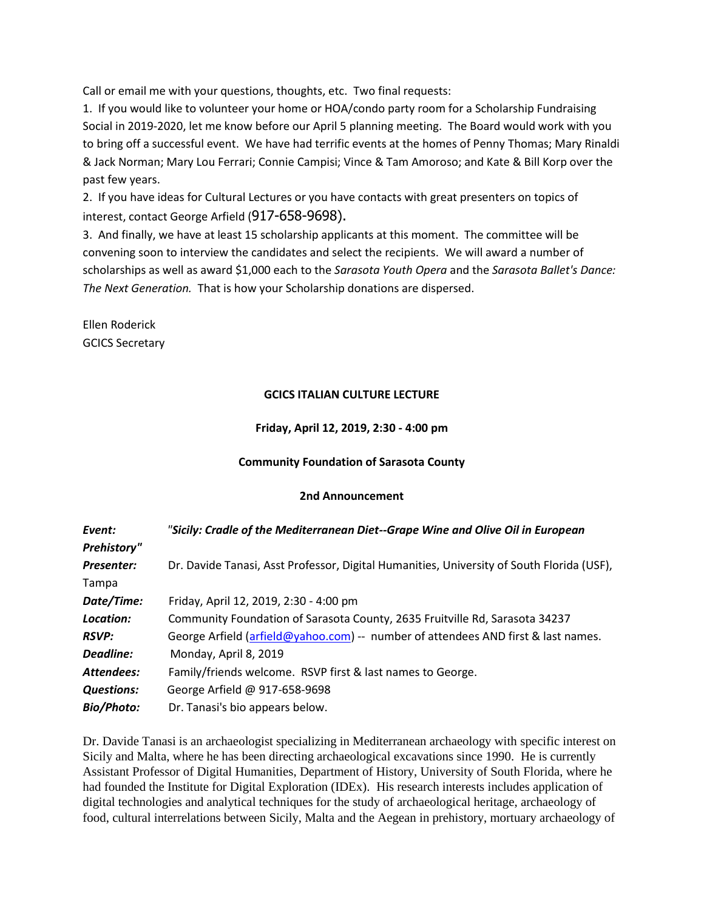Call or email me with your questions, thoughts, etc. Two final requests:

1. If you would like to volunteer your home or HOA/condo party room for a Scholarship Fundraising Social in 2019-2020, let me know before our April 5 planning meeting. The Board would work with you to bring off a successful event. We have had terrific events at the homes of Penny Thomas; Mary Rinaldi & Jack Norman; Mary Lou Ferrari; Connie Campisi; Vince & Tam Amoroso; and Kate & Bill Korp over the past few years.

2. If you have ideas for Cultural Lectures or you have contacts with great presenters on topics of interest, contact George Arfield (917-658-9698).

3. And finally, we have at least 15 scholarship applicants at this moment. The committee will be convening soon to interview the candidates and select the recipients. We will award a number of scholarships as well as award \$1,000 each to the *Sarasota Youth Opera* and the *Sarasota Ballet's Dance: The Next Generation.* That is how your Scholarship donations are dispersed.

Ellen Roderick GCICS Secretary

### **GCICS ITALIAN CULTURE LECTURE**

#### **Friday, April 12, 2019, 2:30 - 4:00 pm**

#### **Community Foundation of Sarasota County**

#### **2nd Announcement**

| Event:             | "Sicily: Cradle of the Mediterranean Diet--Grape Wine and Olive Oil in European           |
|--------------------|-------------------------------------------------------------------------------------------|
| <b>Prehistory"</b> |                                                                                           |
| <b>Presenter:</b>  | Dr. Davide Tanasi, Asst Professor, Digital Humanities, University of South Florida (USF), |
| Tampa              |                                                                                           |
| Date/Time:         | Friday, April 12, 2019, 2:30 - 4:00 pm                                                    |
| Location:          | Community Foundation of Sarasota County, 2635 Fruitville Rd, Sarasota 34237               |
| <b>RSVP:</b>       | George Arfield (arfield@yahoo.com) -- number of attendees AND first & last names.         |
| Deadline:          | Monday, April 8, 2019                                                                     |
| Attendees:         | Family/friends welcome. RSVP first & last names to George.                                |
| <b>Questions:</b>  | George Arfield @ 917-658-9698                                                             |
| <b>Bio/Photo:</b>  | Dr. Tanasi's bio appears below.                                                           |

Dr. Davide Tanasi is an archaeologist specializing in Mediterranean archaeology with specific interest on Sicily and Malta, where he has been directing archaeological excavations since 1990. He is currently Assistant Professor of Digital Humanities, Department of History, University of South Florida, where he had founded the Institute for Digital Exploration (IDEx). His research interests includes application of digital technologies and analytical techniques for the study of archaeological heritage, archaeology of food, cultural interrelations between Sicily, Malta and the Aegean in prehistory, mortuary archaeology of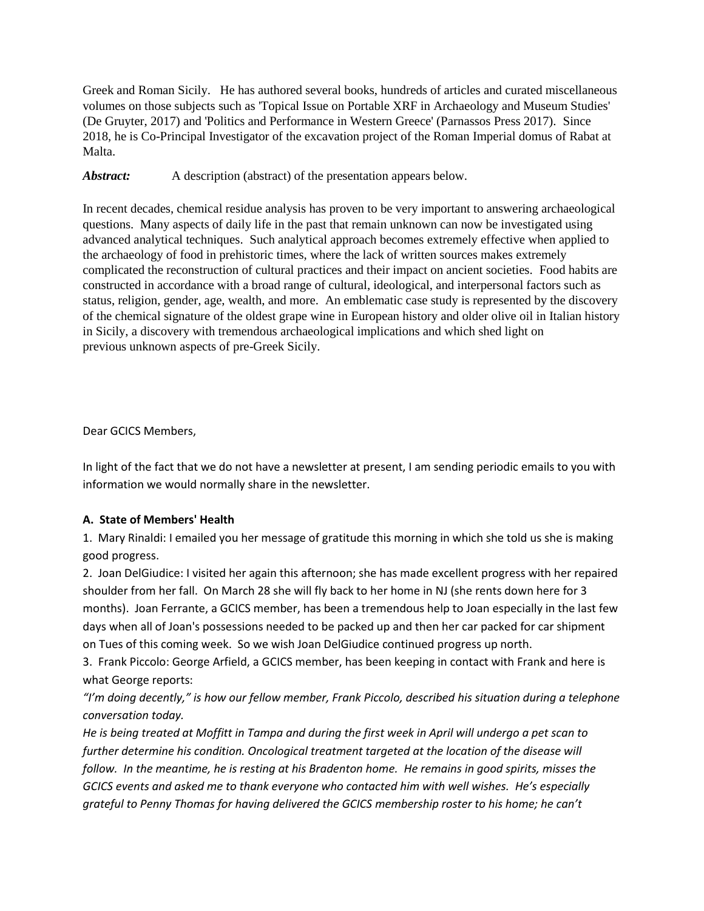Greek and Roman Sicily. He has authored several books, hundreds of articles and curated miscellaneous volumes on those subjects such as 'Topical Issue on Portable XRF in Archaeology and Museum Studies' (De Gruyter, 2017) and 'Politics and Performance in Western Greece' (Parnassos Press 2017). Since 2018, he is Co-Principal Investigator of the excavation project of the Roman Imperial domus of Rabat at Malta.

*Abstract:* A description (abstract) of the presentation appears below.

In recent decades, chemical residue analysis has proven to be very important to answering archaeological questions. Many aspects of daily life in the past that remain unknown can now be investigated using advanced analytical techniques. Such analytical approach becomes extremely effective when applied to the archaeology of food in prehistoric times, where the lack of written sources makes extremely complicated the reconstruction of cultural practices and their impact on ancient societies. Food habits are constructed in accordance with a broad range of cultural, ideological, and interpersonal factors such as status, religion, gender, age, wealth, and more. An emblematic case study is represented by the discovery of the chemical signature of the oldest grape wine in European history and older olive oil in Italian history in Sicily, a discovery with tremendous archaeological implications and which shed light on previous unknown aspects of pre-Greek Sicily.

Dear GCICS Members,

In light of the fact that we do not have a newsletter at present, I am sending periodic emails to you with information we would normally share in the newsletter.

### **A. State of Members' Health**

1. Mary Rinaldi: I emailed you her message of gratitude this morning in which she told us she is making good progress.

2. Joan DelGiudice: I visited her again this afternoon; she has made excellent progress with her repaired shoulder from her fall. On March 28 she will fly back to her home in NJ (she rents down here for 3 months). Joan Ferrante, a GCICS member, has been a tremendous help to Joan especially in the last few days when all of Joan's possessions needed to be packed up and then her car packed for car shipment on Tues of this coming week. So we wish Joan DelGiudice continued progress up north.

3. Frank Piccolo: George Arfield, a GCICS member, has been keeping in contact with Frank and here is what George reports:

*"I'm doing decently," is how our fellow member, Frank Piccolo, described his situation during a telephone conversation today.* 

*He is being treated at Moffitt in Tampa and during the first week in April will undergo a pet scan to further determine his condition. Oncological treatment targeted at the location of the disease will follow. In the meantime, he is resting at his Bradenton home. He remains in good spirits, misses the GCICS events and asked me to thank everyone who contacted him with well wishes. He's especially grateful to Penny Thomas for having delivered the GCICS membership roster to his home; he can't*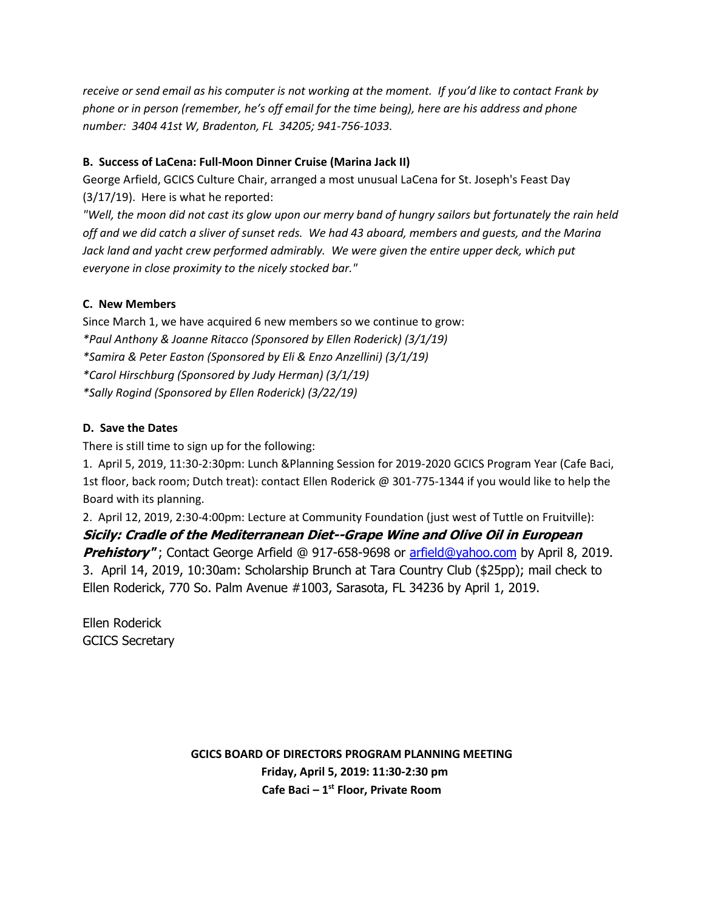*receive or send email as his computer is not working at the moment. If you'd like to contact Frank by phone or in person (remember, he's off email for the time being), here are his address and phone number: 3404 41st W, Bradenton, FL 34205; 941-756-1033.* 

# **B. Success of LaCena: Full-Moon Dinner Cruise (Marina Jack II)**

George Arfield, GCICS Culture Chair, arranged a most unusual LaCena for St. Joseph's Feast Day (3/17/19). Here is what he reported:

*"Well, the moon did not cast its glow upon our merry band of hungry sailors but fortunately the rain held off and we did catch a sliver of sunset reds. We had 43 aboard, members and guests, and the Marina Jack land and yacht crew performed admirably. We were given the entire upper deck, which put everyone in close proximity to the nicely stocked bar."*

# **C. New Members**

Since March 1, we have acquired 6 new members so we continue to grow: *\*Paul Anthony & Joanne Ritacco (Sponsored by Ellen Roderick) (3/1/19) \*Samira & Peter Easton (Sponsored by Eli & Enzo Anzellini) (3/1/19) \*Carol Hirschburg (Sponsored by Judy Herman) (3/1/19) \*Sally Rogind (Sponsored by Ellen Roderick) (3/22/19)*

# **D. Save the Dates**

There is still time to sign up for the following:

1. April 5, 2019, 11:30-2:30pm: Lunch &Planning Session for 2019-2020 GCICS Program Year (Cafe Baci, 1st floor, back room; Dutch treat): contact Ellen Roderick @ 301-775-1344 if you would like to help the Board with its planning.

2. April 12, 2019, 2:30-4:00pm: Lecture at Community Foundation (just west of Tuttle on Fruitville):

**Sicily: Cradle of the Mediterranean Diet--Grape Wine and Olive Oil in European Prehistory"**; Contact George Arfield @ 917-658-9698 or [arfield@yahoo.com](mailto:arfield@yahoo.com) by April 8, 2019. 3. April 14, 2019, 10:30am: Scholarship Brunch at Tara Country Club (\$25pp); mail check to Ellen Roderick, 770 So. Palm Avenue #1003, Sarasota, FL 34236 by April 1, 2019.

Ellen Roderick GCICS Secretary

> **GCICS BOARD OF DIRECTORS PROGRAM PLANNING MEETING Friday, April 5, 2019: 11:30-2:30 pm Cafe Baci – 1 st Floor, Private Room**